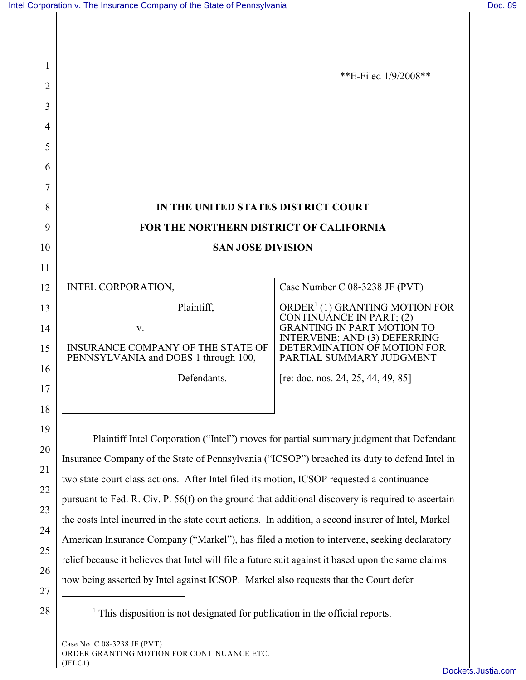|                                                                           | **E-Filed $1/9/2008**$                                                                  |
|---------------------------------------------------------------------------|-----------------------------------------------------------------------------------------|
|                                                                           |                                                                                         |
|                                                                           |                                                                                         |
|                                                                           |                                                                                         |
|                                                                           |                                                                                         |
|                                                                           |                                                                                         |
|                                                                           |                                                                                         |
| IN THE UNITED STATES DISTRICT COURT                                       |                                                                                         |
| FOR THE NORTHERN DISTRICT OF CALIFORNIA                                   |                                                                                         |
| <b>SAN JOSE DIVISION</b>                                                  |                                                                                         |
|                                                                           |                                                                                         |
| INTEL CORPORATION,                                                        | Case Number C 08-3238 JF (PVT)                                                          |
| Plaintiff,                                                                | ORDER <sup>1</sup> (1) GRANTING MOTION FOR<br>CONTINUANCE IN PART; (2)                  |
| v.                                                                        | <b>GRANTING IN PART MOTION TO</b><br>INTERVENE; AND (3) DEFERRING                       |
| INSURANCE COMPANY OF THE STATE OF<br>PENNSYLVANIA and DOES 1 through 100, | DETERMINATION OF MOTION FOR<br>PARTIAL SUMMARY JUDGMENT                                 |
| Defendants.                                                               | [re: doc. nos. 24, 25, 44, 49, 85]                                                      |
|                                                                           |                                                                                         |
|                                                                           |                                                                                         |
|                                                                           | Plaintiff Intel Corporation ("Intel") moves for partial summary judgment that Defendant |
|                                                                           |                                                                                         |

Insurance Company of the State of Pennsylvania ("ICSOP") breached its duty to defend Intel in two state court class actions. After Intel filed its motion, ICSOP requested a continuance pursuant to Fed. R. Civ. P. 56(f) on the ground that additional discovery is required to ascertain the costs Intel incurred in the state court actions. In addition, a second insurer of Intel, Markel American Insurance Company ("Markel"), has filed a motion to intervene, seeking declaratory relief because it believes that Intel will file a future suit against it based upon the same claims now being asserted by Intel against ICSOP. Markel also requests that the Court defer

27

21

22

23

24

25

26

 $28 \parallel$  <sup>1</sup> This disposition is not designated for publication in the official reports.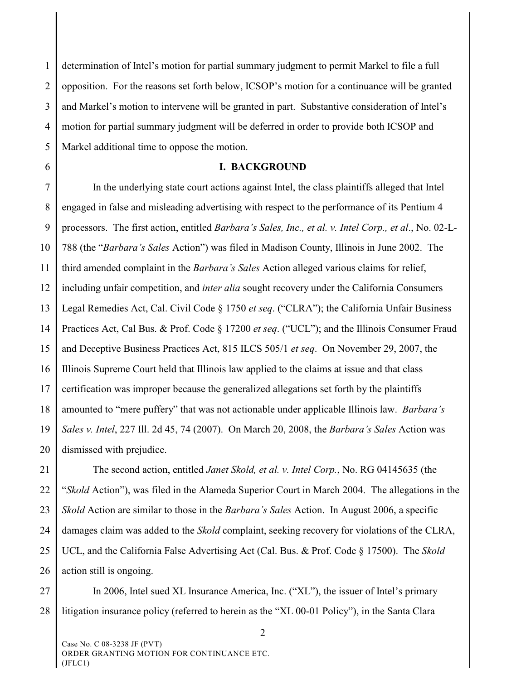1 2 3 4 5 determination of Intel's motion for partial summary judgment to permit Markel to file a full opposition. For the reasons set forth below, ICSOP's motion for a continuance will be granted and Markel's motion to intervene will be granted in part. Substantive consideration of Intel's motion for partial summary judgment will be deferred in order to provide both ICSOP and Markel additional time to oppose the motion.

6

## **I. BACKGROUND**

7 8 9 10 11 12 13 14 15 16 17 18 19 20 In the underlying state court actions against Intel, the class plaintiffs alleged that Intel engaged in false and misleading advertising with respect to the performance of its Pentium 4 processors. The first action, entitled *Barbara's Sales, Inc., et al. v. Intel Corp., et al*., No. 02-L-788 (the "*Barbara's Sales* Action") was filed in Madison County, Illinois in June 2002. The third amended complaint in the *Barbara's Sales* Action alleged various claims for relief, including unfair competition, and *inter alia* sought recovery under the California Consumers Legal Remedies Act, Cal. Civil Code § 1750 *et seq*. ("CLRA"); the California Unfair Business Practices Act, Cal Bus. & Prof. Code § 17200 *et seq*. ("UCL"); and the Illinois Consumer Fraud and Deceptive Business Practices Act, 815 ILCS 505/1 *et seq*. On November 29, 2007, the Illinois Supreme Court held that Illinois law applied to the claims at issue and that class certification was improper because the generalized allegations set forth by the plaintiffs amounted to "mere puffery" that was not actionable under applicable Illinois law. *Barbara's Sales v. Intel*, 227 Ill. 2d 45, 74 (2007). On March 20, 2008, the *Barbara's Sales* Action was dismissed with prejudice.

21 22 23 24 25 26 The second action, entitled *Janet Skold, et al. v. Intel Corp.*, No. RG 04145635 (the "*Skold* Action"), was filed in the Alameda Superior Court in March 2004. The allegations in the *Skold* Action are similar to those in the *Barbara's Sales* Action. In August 2006, a specific damages claim was added to the *Skold* complaint, seeking recovery for violations of the CLRA, UCL, and the California False Advertising Act (Cal. Bus. & Prof. Code § 17500). The *Skold* action still is ongoing.

27 28 In 2006, Intel sued XL Insurance America, Inc. ("XL"), the issuer of Intel's primary litigation insurance policy (referred to herein as the "XL 00-01 Policy"), in the Santa Clara

 $\mathcal{L}$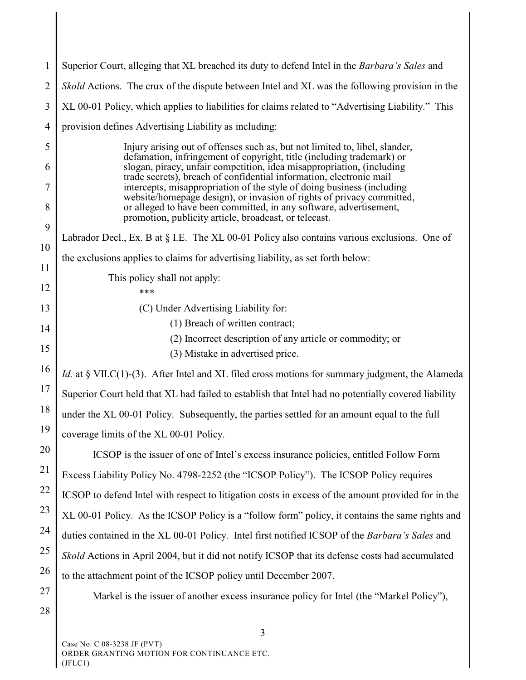| $\mathbf{1}$ | Superior Court, alleging that XL breached its duty to defend Intel in the Barbara's Sales and                                                        |
|--------------|------------------------------------------------------------------------------------------------------------------------------------------------------|
| 2            | <i>Skold</i> Actions. The crux of the dispute between Intel and XL was the following provision in the                                                |
| 3            | XL 00-01 Policy, which applies to liabilities for claims related to "Advertising Liability." This                                                    |
| 4            | provision defines Advertising Liability as including:                                                                                                |
| 5            | Injury arising out of offenses such as, but not limited to, libel, slander,<br>defamation, infringement of copyright, title (including trademark) or |
| 6            | slogan, piracy, unfair competition, idea misappropriation, (including<br>trade secrets), breach of confidential information, electronic mail         |
| 7            | intercepts, misappropriation of the style of doing business (including<br>website/homepage design), or invasion of rights of privacy committed,      |
| 8            | or alleged to have been committed, in any software, advertisement,<br>promotion, publicity article, broadcast, or telecast.                          |
| 9            | Labrador Decl., Ex. B at § I.E. The XL 00-01 Policy also contains various exclusions. One of                                                         |
| 10           | the exclusions applies to claims for advertising liability, as set forth below:                                                                      |
| 11           | This policy shall not apply:                                                                                                                         |
| 12           | ***                                                                                                                                                  |
| 13           | (C) Under Advertising Liability for:<br>(1) Breach of written contract;                                                                              |
| 14           | (2) Incorrect description of any article or commodity; or                                                                                            |
| 15           | (3) Mistake in advertised price.                                                                                                                     |
| 16           | Id. at § VII.C(1)-(3). After Intel and XL filed cross motions for summary judgment, the Alameda                                                      |
| 17           | Superior Court held that XL had failed to establish that Intel had no potentially covered liability                                                  |
| 18           | under the XL 00-01 Policy. Subsequently, the parties settled for an amount equal to the full                                                         |
| 19           | coverage limits of the XL 00-01 Policy.                                                                                                              |
| 20           | ICSOP is the issuer of one of Intel's excess insurance policies, entitled Follow Form                                                                |
| 21           | Excess Liability Policy No. 4798-2252 (the "ICSOP Policy"). The ICSOP Policy requires                                                                |
| 22           | ICSOP to defend Intel with respect to litigation costs in excess of the amount provided for in the                                                   |
| 23           | XL 00-01 Policy. As the ICSOP Policy is a "follow form" policy, it contains the same rights and                                                      |
| 24           | duties contained in the XL 00-01 Policy. Intel first notified ICSOP of the Barbara's Sales and                                                       |
| 25<br>26     | Skold Actions in April 2004, but it did not notify ICSOP that its defense costs had accumulated                                                      |
| 27           | to the attachment point of the ICSOP policy until December 2007.                                                                                     |
| 28           | Markel is the issuer of another excess insurance policy for Intel (the "Markel Policy"),                                                             |
|              |                                                                                                                                                      |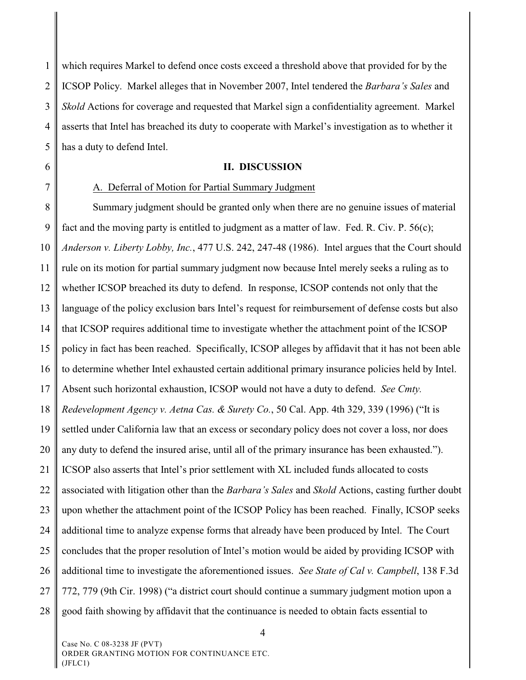1 2 3 4 5 which requires Markel to defend once costs exceed a threshold above that provided for by the ICSOP Policy. Markel alleges that in November 2007, Intel tendered the *Barbara's Sales* and *Skold* Actions for coverage and requested that Markel sign a confidentiality agreement. Markel asserts that Intel has breached its duty to cooperate with Markel's investigation as to whether it has a duty to defend Intel.

- 6
- 7

## **II. DISCUSSION**

## A. Deferral of Motion for Partial Summary Judgment

8 9 10 11 12 13 14 15 16 17 18 19 20 21 22 23 24 25 26 27 28 Summary judgment should be granted only when there are no genuine issues of material fact and the moving party is entitled to judgment as a matter of law. Fed. R. Civ. P.  $56(c)$ ; *Anderson v. Liberty Lobby, Inc.*, 477 U.S. 242, 247-48 (1986). Intel argues that the Court should rule on its motion for partial summary judgment now because Intel merely seeks a ruling as to whether ICSOP breached its duty to defend. In response, ICSOP contends not only that the language of the policy exclusion bars Intel's request for reimbursement of defense costs but also that ICSOP requires additional time to investigate whether the attachment point of the ICSOP policy in fact has been reached. Specifically, ICSOP alleges by affidavit that it has not been able to determine whether Intel exhausted certain additional primary insurance policies held by Intel. Absent such horizontal exhaustion, ICSOP would not have a duty to defend. *See Cmty. Redevelopment Agency v. Aetna Cas. & Surety Co.*, 50 Cal. App. 4th 329, 339 (1996) ("It is settled under California law that an excess or secondary policy does not cover a loss, nor does any duty to defend the insured arise, until all of the primary insurance has been exhausted."). ICSOP also asserts that Intel's prior settlement with XL included funds allocated to costs associated with litigation other than the *Barbara's Sales* and *Skold* Actions, casting further doubt upon whether the attachment point of the ICSOP Policy has been reached. Finally, ICSOP seeks additional time to analyze expense forms that already have been produced by Intel. The Court concludes that the proper resolution of Intel's motion would be aided by providing ICSOP with additional time to investigate the aforementioned issues. *See State of Cal v. Campbell*, 138 F.3d 772, 779 (9th Cir. 1998) ("a district court should continue a summary judgment motion upon a good faith showing by affidavit that the continuance is needed to obtain facts essential to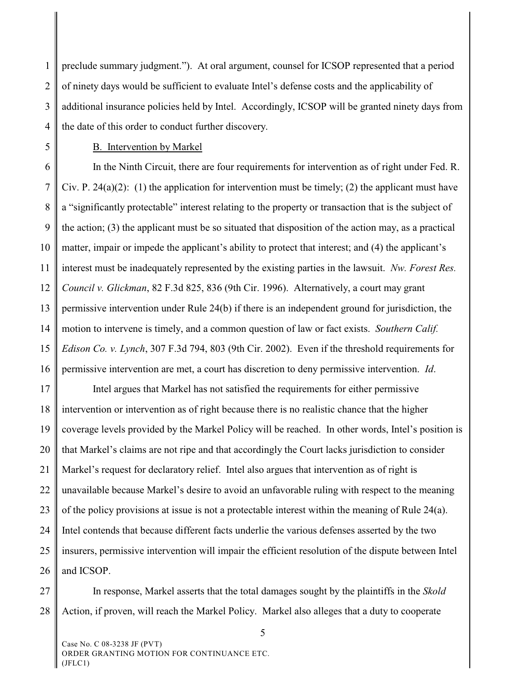1 2 3 4 preclude summary judgment."). At oral argument, counsel for ICSOP represented that a period of ninety days would be sufficient to evaluate Intel's defense costs and the applicability of additional insurance policies held by Intel. Accordingly, ICSOP will be granted ninety days from the date of this order to conduct further discovery.

5

## B. Intervention by Markel

6 7 8 9 10 11 12 13 14 15 16 In the Ninth Circuit, there are four requirements for intervention as of right under Fed. R. Civ. P. 24(a)(2): (1) the application for intervention must be timely; (2) the applicant must have a "significantly protectable" interest relating to the property or transaction that is the subject of the action; (3) the applicant must be so situated that disposition of the action may, as a practical matter, impair or impede the applicant's ability to protect that interest; and (4) the applicant's interest must be inadequately represented by the existing parties in the lawsuit. *Nw. Forest Res. Council v. Glickman*, 82 F.3d 825, 836 (9th Cir. 1996). Alternatively, a court may grant permissive intervention under Rule 24(b) if there is an independent ground for jurisdiction, the motion to intervene is timely, and a common question of law or fact exists. *Southern Calif. Edison Co. v. Lynch*, 307 F.3d 794, 803 (9th Cir. 2002). Even if the threshold requirements for permissive intervention are met, a court has discretion to deny permissive intervention. *Id*.

17 18 19 20 21 22 23 24 25 26 Intel argues that Markel has not satisfied the requirements for either permissive intervention or intervention as of right because there is no realistic chance that the higher coverage levels provided by the Markel Policy will be reached. In other words, Intel's position is that Markel's claims are not ripe and that accordingly the Court lacks jurisdiction to consider Markel's request for declaratory relief. Intel also argues that intervention as of right is unavailable because Markel's desire to avoid an unfavorable ruling with respect to the meaning of the policy provisions at issue is not a protectable interest within the meaning of Rule 24(a). Intel contends that because different facts underlie the various defenses asserted by the two insurers, permissive intervention will impair the efficient resolution of the dispute between Intel and ICSOP.

27 28 In response, Markel asserts that the total damages sought by the plaintiffs in the *Skold* Action, if proven, will reach the Markel Policy. Markel also alleges that a duty to cooperate

5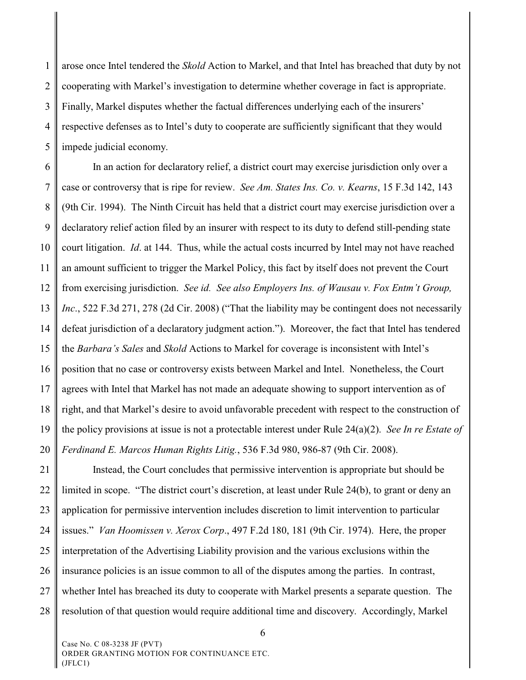1 2 3 4 5 arose once Intel tendered the *Skold* Action to Markel, and that Intel has breached that duty by not cooperating with Markel's investigation to determine whether coverage in fact is appropriate. Finally, Markel disputes whether the factual differences underlying each of the insurers' respective defenses as to Intel's duty to cooperate are sufficiently significant that they would impede judicial economy.

6 7 8 9 10 11 12 13 14 15 16 17 18 19 20 In an action for declaratory relief, a district court may exercise jurisdiction only over a case or controversy that is ripe for review. *See Am. States Ins. Co. v. Kearns*, 15 F.3d 142, 143 (9th Cir. 1994). The Ninth Circuit has held that a district court may exercise jurisdiction over a declaratory relief action filed by an insurer with respect to its duty to defend still-pending state court litigation. *Id*. at 144. Thus, while the actual costs incurred by Intel may not have reached an amount sufficient to trigger the Markel Policy, this fact by itself does not prevent the Court from exercising jurisdiction. *See id. See also Employers Ins. of Wausau v. Fox Entm't Group, Inc*., 522 F.3d 271, 278 (2d Cir. 2008) ("That the liability may be contingent does not necessarily defeat jurisdiction of a declaratory judgment action."). Moreover, the fact that Intel has tendered the *Barbara's Sales* and *Skold* Actions to Markel for coverage is inconsistent with Intel's position that no case or controversy exists between Markel and Intel. Nonetheless, the Court agrees with Intel that Markel has not made an adequate showing to support intervention as of right, and that Markel's desire to avoid unfavorable precedent with respect to the construction of the policy provisions at issue is not a protectable interest under Rule 24(a)(2). *See In re Estate of Ferdinand E. Marcos Human Rights Litig.*, 536 F.3d 980, 986-87 (9th Cir. 2008).

21 22 23 24 25 26 27 28 Instead, the Court concludes that permissive intervention is appropriate but should be limited in scope. "The district court's discretion, at least under Rule 24(b), to grant or deny an application for permissive intervention includes discretion to limit intervention to particular issues." *Van Hoomissen v. Xerox Corp*., 497 F.2d 180, 181 (9th Cir. 1974). Here, the proper interpretation of the Advertising Liability provision and the various exclusions within the insurance policies is an issue common to all of the disputes among the parties. In contrast, whether Intel has breached its duty to cooperate with Markel presents a separate question. The resolution of that question would require additional time and discovery. Accordingly, Markel

Case No. C 08-3238 JF (PVT) ORDER GRANTING MOTION FOR CONTINUANCE ETC. (JFLC1)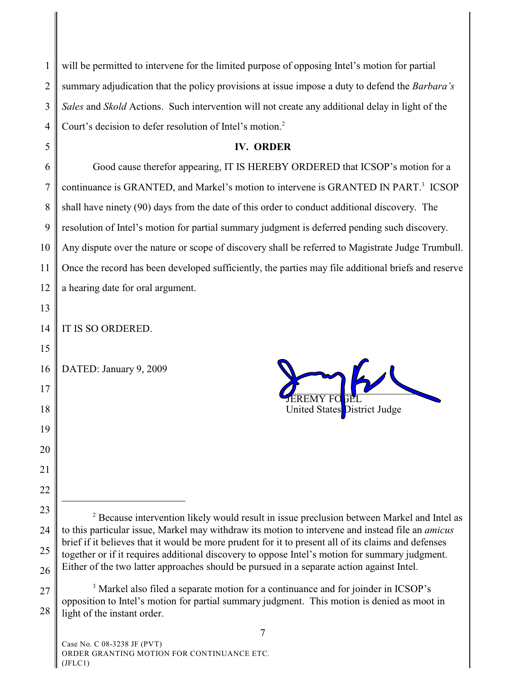| 1              | will be permitted to intervene for the limited purpose of opposing Intel's motion for partial                                                                                                                  |
|----------------|----------------------------------------------------------------------------------------------------------------------------------------------------------------------------------------------------------------|
| $\overline{2}$ | summary adjudication that the policy provisions at issue impose a duty to defend the Barbara's                                                                                                                 |
| 3              | Sales and Skold Actions. Such intervention will not create any additional delay in light of the                                                                                                                |
| 4              | Court's decision to defer resolution of Intel's motion. <sup>2</sup>                                                                                                                                           |
| 5              | <b>IV. ORDER</b>                                                                                                                                                                                               |
| 6              | Good cause therefor appearing, IT IS HEREBY ORDERED that ICSOP's motion for a                                                                                                                                  |
| 7              | continuance is GRANTED, and Markel's motion to intervene is GRANTED IN PART. <sup>3</sup> ICSOP                                                                                                                |
| 8              | shall have ninety (90) days from the date of this order to conduct additional discovery. The                                                                                                                   |
| 9              | resolution of Intel's motion for partial summary judgment is deferred pending such discovery.                                                                                                                  |
| 10             | Any dispute over the nature or scope of discovery shall be referred to Magistrate Judge Trumbull.                                                                                                              |
| 11             | Once the record has been developed sufficiently, the parties may file additional briefs and reserve                                                                                                            |
| 12             | a hearing date for oral argument.                                                                                                                                                                              |
| 13             |                                                                                                                                                                                                                |
| 14             | IT IS SO ORDERED.                                                                                                                                                                                              |
| 15             |                                                                                                                                                                                                                |
| 16             | DATED: January 9, 2009                                                                                                                                                                                         |
| 17             |                                                                                                                                                                                                                |
| 18             | United States District Judge                                                                                                                                                                                   |
| 19             |                                                                                                                                                                                                                |
| 20             |                                                                                                                                                                                                                |
| 21             |                                                                                                                                                                                                                |
| 22             |                                                                                                                                                                                                                |
| 23             | <sup>2</sup> Because intervention likely would result in issue preclusion between Markel and Intel as                                                                                                          |
| 24             | to this particular issue, Markel may withdraw its motion to intervene and instead file an <i>amicus</i><br>brief if it believes that it would be more prudent for it to present all of its claims and defenses |
| 25             | together or if it requires additional discovery to oppose Intel's motion for summary judgment.                                                                                                                 |
| 26             | Either of the two latter approaches should be pursued in a separate action against Intel.                                                                                                                      |
| 27             | <sup>3</sup> Markel also filed a separate motion for a continuance and for joinder in ICSOP's<br>opposition to Intel's motion for partial summary judgment. This motion is denied as moot in                   |
| 28             | light of the instant order.                                                                                                                                                                                    |

Case No. C 08-3238 JF (PVT) ORDER GRANTING MOTION FOR CONTINUANCE ETC. (JFLC1)